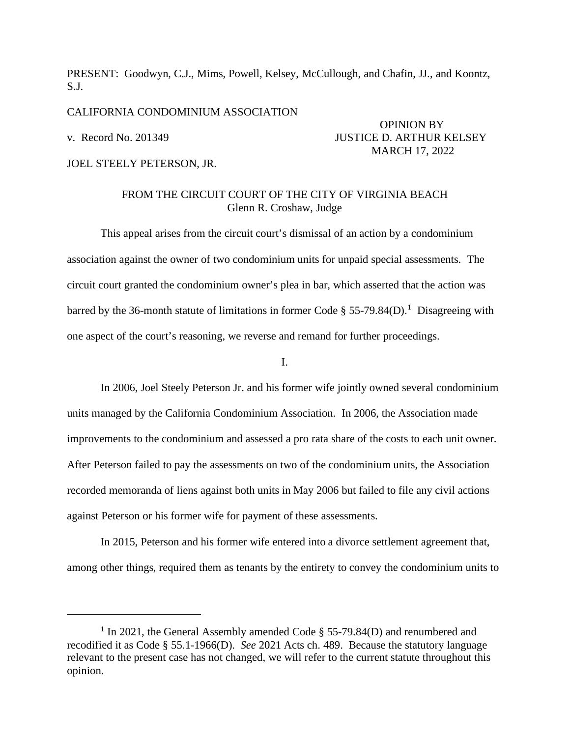PRESENT: Goodwyn, C.J., Mims, Powell, Kelsey, McCullough, and Chafin, JJ., and Koontz, S.J.

CALIFORNIA CONDOMINIUM ASSOCIATION

JOEL STEELY PETERSON, JR.

## OPINION BY v. Record No. 201349 JUSTICE D. ARTHUR KELSEY MARCH 17, 2022

## FROM THE CIRCUIT COURT OF THE CITY OF VIRGINIA BEACH Glenn R. Croshaw, Judge

This appeal arises from the circuit court's dismissal of an action by a condominium association against the owner of two condominium units for unpaid special assessments. The circuit court granted the condominium owner's plea in bar, which asserted that the action was barred by the 36-month statute of limitations in former Code § 55-79.84(D).<sup>[1](#page-0-0)</sup> Disagreeing with one aspect of the court's reasoning, we reverse and remand for further proceedings.

I.

In 2006, Joel Steely Peterson Jr. and his former wife jointly owned several condominium units managed by the California Condominium Association. In 2006, the Association made improvements to the condominium and assessed a pro rata share of the costs to each unit owner. After Peterson failed to pay the assessments on two of the condominium units, the Association recorded memoranda of liens against both units in May 2006 but failed to file any civil actions against Peterson or his former wife for payment of these assessments.

In 2015, Peterson and his former wife entered into a divorce settlement agreement that, among other things, required them as tenants by the entirety to convey the condominium units to

<span id="page-0-0"></span><sup>&</sup>lt;sup>1</sup> In 2021, the General Assembly amended Code § 55-79.84(D) and renumbered and recodified it as Code § 55.1-1966(D). *See* 2021 Acts ch. 489. Because the statutory language relevant to the present case has not changed, we will refer to the current statute throughout this opinion.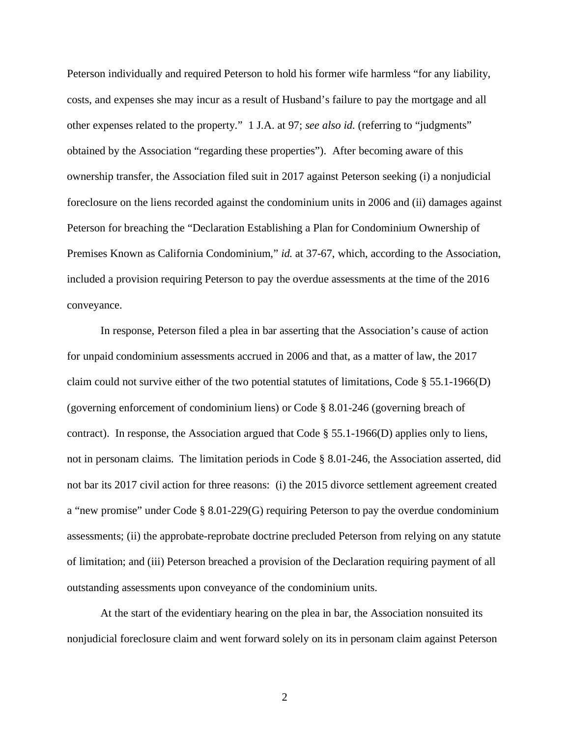Peterson individually and required Peterson to hold his former wife harmless "for any liability, costs, and expenses she may incur as a result of Husband's failure to pay the mortgage and all other expenses related to the property." 1 J.A. at 97; *see also id.* (referring to "judgments" obtained by the Association "regarding these properties"). After becoming aware of this ownership transfer, the Association filed suit in 2017 against Peterson seeking (i) a nonjudicial foreclosure on the liens recorded against the condominium units in 2006 and (ii) damages against Peterson for breaching the "Declaration Establishing a Plan for Condominium Ownership of Premises Known as California Condominium," *id.* at 37-67, which, according to the Association, included a provision requiring Peterson to pay the overdue assessments at the time of the 2016 conveyance.

In response, Peterson filed a plea in bar asserting that the Association's cause of action for unpaid condominium assessments accrued in 2006 and that, as a matter of law, the 2017 claim could not survive either of the two potential statutes of limitations, Code  $\S$  55.1-1966(D) (governing enforcement of condominium liens) or Code § 8.01-246 (governing breach of contract). In response, the Association argued that Code § 55.1-1966(D) applies only to liens, not in personam claims. The limitation periods in Code § 8.01-246, the Association asserted, did not bar its 2017 civil action for three reasons: (i) the 2015 divorce settlement agreement created a "new promise" under Code § 8.01-229(G) requiring Peterson to pay the overdue condominium assessments; (ii) the approbate-reprobate doctrine precluded Peterson from relying on any statute of limitation; and (iii) Peterson breached a provision of the Declaration requiring payment of all outstanding assessments upon conveyance of the condominium units.

At the start of the evidentiary hearing on the plea in bar, the Association nonsuited its nonjudicial foreclosure claim and went forward solely on its in personam claim against Peterson

2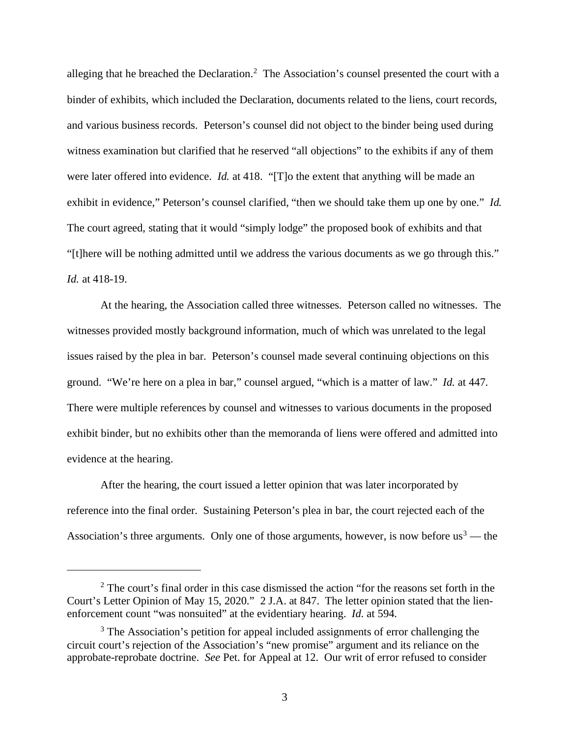alleging that he breached the Declaration.<sup>[2](#page-2-0)</sup> The Association's counsel presented the court with a binder of exhibits, which included the Declaration, documents related to the liens, court records, and various business records. Peterson's counsel did not object to the binder being used during witness examination but clarified that he reserved "all objections" to the exhibits if any of them were later offered into evidence. *Id.* at 418. "[T]o the extent that anything will be made an exhibit in evidence," Peterson's counsel clarified, "then we should take them up one by one." *Id.* The court agreed, stating that it would "simply lodge" the proposed book of exhibits and that "[t]here will be nothing admitted until we address the various documents as we go through this." *Id.* at 418-19.

At the hearing, the Association called three witnesses. Peterson called no witnesses. The witnesses provided mostly background information, much of which was unrelated to the legal issues raised by the plea in bar. Peterson's counsel made several continuing objections on this ground. "We're here on a plea in bar," counsel argued, "which is a matter of law." *Id.* at 447. There were multiple references by counsel and witnesses to various documents in the proposed exhibit binder, but no exhibits other than the memoranda of liens were offered and admitted into evidence at the hearing.

After the hearing, the court issued a letter opinion that was later incorporated by reference into the final order. Sustaining Peterson's plea in bar, the court rejected each of the Association's three arguments. Only one of those arguments, however, is now before us<sup>[3](#page-2-1)</sup> — the

<span id="page-2-0"></span> $2^2$  The court's final order in this case dismissed the action "for the reasons set forth in the Court's Letter Opinion of May 15, 2020." 2 J.A. at 847. The letter opinion stated that the lienenforcement count "was nonsuited" at the evidentiary hearing. *Id.* at 594.

<span id="page-2-1"></span><sup>&</sup>lt;sup>3</sup> The Association's petition for appeal included assignments of error challenging the circuit court's rejection of the Association's "new promise" argument and its reliance on the approbate-reprobate doctrine. *See* Pet. for Appeal at 12. Our writ of error refused to consider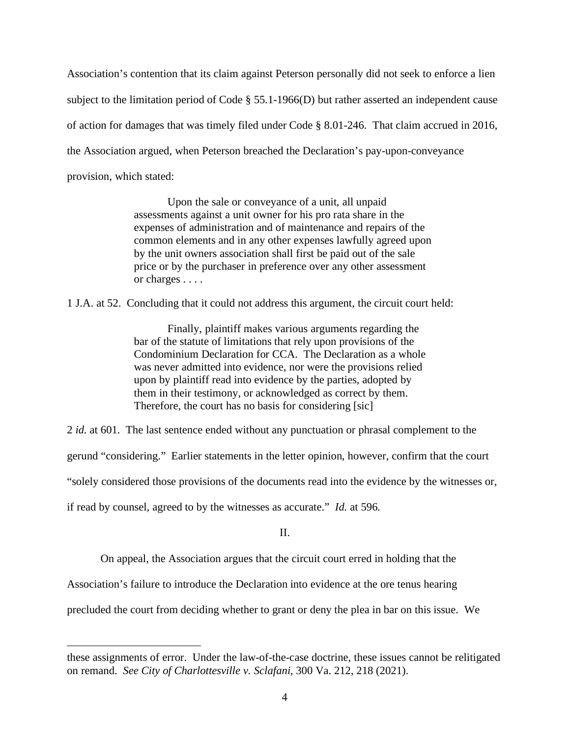Association's contention that its claim against Peterson personally did not seek to enforce a lien subject to the limitation period of Code § 55.1-1966(D) but rather asserted an independent cause of action for damages that was timely filed under Code § 8.01-246. That claim accrued in 2016, the Association argued, when Peterson breached the Declaration's pay-upon-conveyance provision, which stated:

> Upon the sale or conveyance of a unit, all unpaid assessments against a unit owner for his pro rata share in the expenses of administration and of maintenance and repairs of the common elements and in any other expenses lawfully agreed upon by the unit owners association shall first be paid out of the sale price or by the purchaser in preference over any other assessment or charges . . . .

1 J.A. at 52. Concluding that it could not address this argument, the circuit court held:

Finally, plaintiff makes various arguments regarding the bar of the statute of limitations that rely upon provisions of the Condominium Declaration for CCA. The Declaration as a whole was never admitted into evidence, nor were the provisions relied upon by plaintiff read into evidence by the parties, adopted by them in their testimony, or acknowledged as correct by them. Therefore, the court has no basis for considering [sic]

2 *id.* at 601. The last sentence ended without any punctuation or phrasal complement to the

gerund "considering." Earlier statements in the letter opinion, however, confirm that the court

"solely considered those provisions of the documents read into the evidence by the witnesses or,

if read by counsel, agreed to by the witnesses as accurate." *Id.* at 596.

II.

On appeal, the Association argues that the circuit court erred in holding that the

Association's failure to introduce the Declaration into evidence at the ore tenus hearing

precluded the court from deciding whether to grant or deny the plea in bar on this issue. We

these assignments of error. Under the law-of-the-case doctrine, these issues cannot be relitigated on remand. *See City of Charlottesville v. Sclafani*, 300 Va. 212, 218 (2021).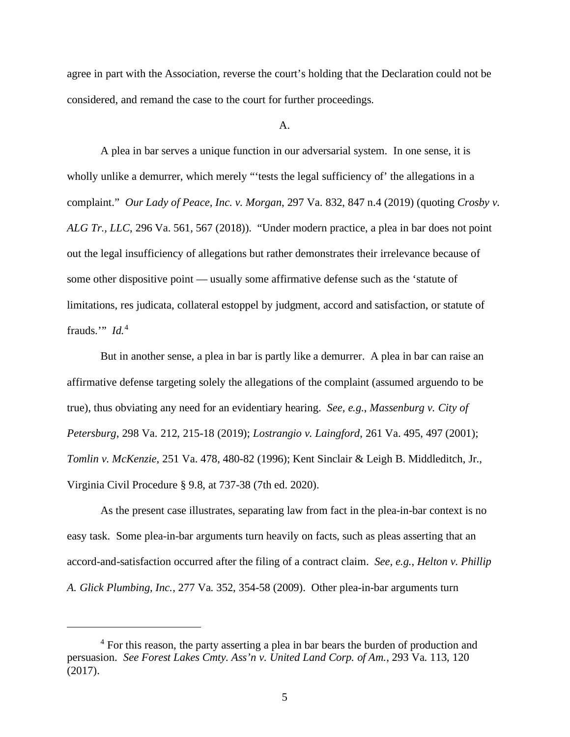agree in part with the Association, reverse the court's holding that the Declaration could not be considered, and remand the case to the court for further proceedings.

A.

A plea in bar serves a unique function in our adversarial system. In one sense, it is wholly unlike a demurrer, which merely "'tests the legal sufficiency of' the allegations in a complaint." *Our Lady of Peace, Inc. v. Morgan*, 297 Va. 832, 847 n.4 (2019) (quoting *Crosby v. ALG Tr., LLC*, 296 Va. 561, 567 (2018)). "Under modern practice, a plea in bar does not point out the legal insufficiency of allegations but rather demonstrates their irrelevance because of some other dispositive point — usually some affirmative defense such as the 'statute of limitations, res judicata, collateral estoppel by judgment, accord and satisfaction, or statute of frauds."  $Id<sup>4</sup>$  $Id<sup>4</sup>$  $Id<sup>4</sup>$ 

But in another sense, a plea in bar is partly like a demurrer. A plea in bar can raise an affirmative defense targeting solely the allegations of the complaint (assumed arguendo to be true), thus obviating any need for an evidentiary hearing. *See, e.g.*, *Massenburg v. City of Petersburg*, 298 Va. 212, 215-18 (2019); *Lostrangio v. Laingford*, 261 Va. 495, 497 (2001); *Tomlin v. McKenzie*, 251 Va. 478, 480-82 (1996); Kent Sinclair & Leigh B. Middleditch, Jr., Virginia Civil Procedure § 9.8, at 737-38 (7th ed. 2020).

As the present case illustrates, separating law from fact in the plea-in-bar context is no easy task. Some plea-in-bar arguments turn heavily on facts, such as pleas asserting that an accord-and-satisfaction occurred after the filing of a contract claim. *See, e.g.*, *Helton v. Phillip A. Glick Plumbing, Inc.*, 277 Va. 352, 354-58 (2009). Other plea-in-bar arguments turn

<span id="page-4-0"></span><sup>&</sup>lt;sup>4</sup> For this reason, the party asserting a plea in bar bears the burden of production and persuasion. *See Forest Lakes Cmty. Ass'n v. United Land Corp. of Am.*, 293 Va. 113, 120 (2017).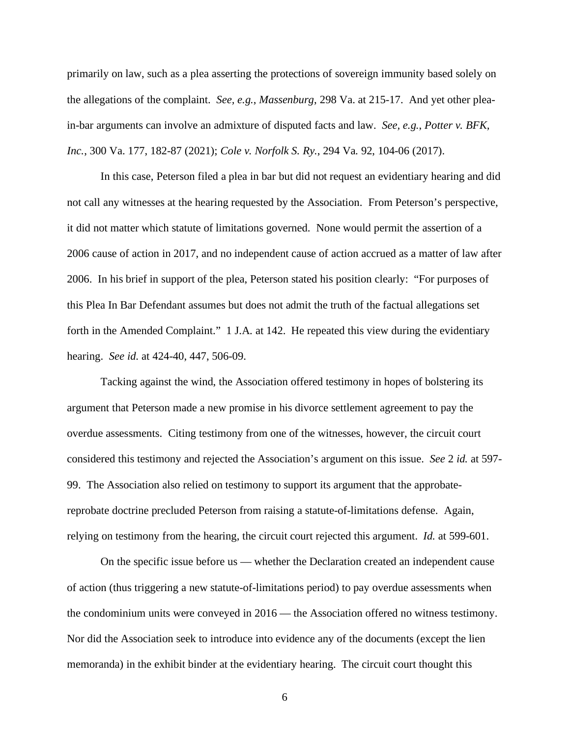primarily on law, such as a plea asserting the protections of sovereign immunity based solely on the allegations of the complaint. *See, e.g.*, *Massenburg*, 298 Va. at 215-17. And yet other pleain-bar arguments can involve an admixture of disputed facts and law. *See, e.g.*, *Potter v. BFK, Inc.*, 300 Va. 177, 182-87 (2021); *Cole v. Norfolk S. Ry.*, 294 Va. 92, 104-06 (2017).

In this case, Peterson filed a plea in bar but did not request an evidentiary hearing and did not call any witnesses at the hearing requested by the Association. From Peterson's perspective, it did not matter which statute of limitations governed. None would permit the assertion of a 2006 cause of action in 2017, and no independent cause of action accrued as a matter of law after 2006. In his brief in support of the plea, Peterson stated his position clearly: "For purposes of this Plea In Bar Defendant assumes but does not admit the truth of the factual allegations set forth in the Amended Complaint." 1 J.A. at 142. He repeated this view during the evidentiary hearing. *See id.* at 424-40, 447, 506-09.

Tacking against the wind, the Association offered testimony in hopes of bolstering its argument that Peterson made a new promise in his divorce settlement agreement to pay the overdue assessments. Citing testimony from one of the witnesses, however, the circuit court considered this testimony and rejected the Association's argument on this issue. *See* 2 *id.* at 597- 99. The Association also relied on testimony to support its argument that the approbatereprobate doctrine precluded Peterson from raising a statute-of-limitations defense. Again, relying on testimony from the hearing, the circuit court rejected this argument. *Id.* at 599-601.

On the specific issue before us — whether the Declaration created an independent cause of action (thus triggering a new statute-of-limitations period) to pay overdue assessments when the condominium units were conveyed in 2016 — the Association offered no witness testimony. Nor did the Association seek to introduce into evidence any of the documents (except the lien memoranda) in the exhibit binder at the evidentiary hearing. The circuit court thought this

6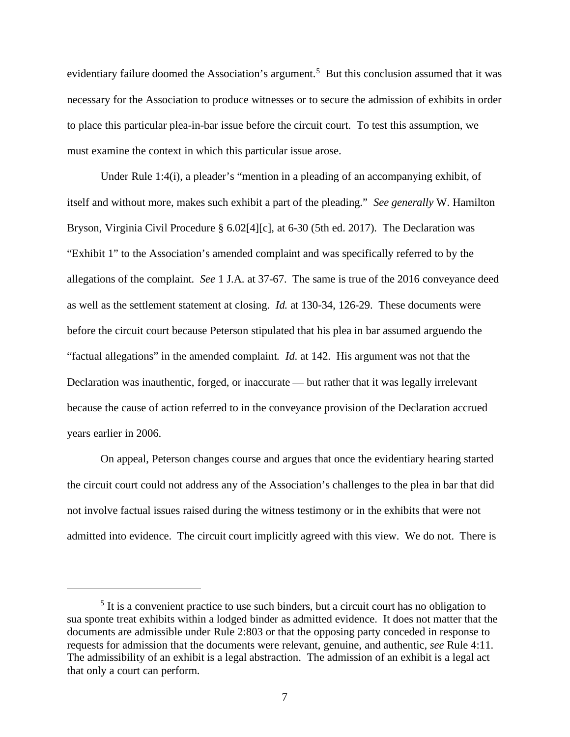evidentiary failure doomed the Association's argument.<sup>[5](#page-6-0)</sup> But this conclusion assumed that it was necessary for the Association to produce witnesses or to secure the admission of exhibits in order to place this particular plea-in-bar issue before the circuit court. To test this assumption, we must examine the context in which this particular issue arose.

Under Rule 1:4(i), a pleader's "mention in a pleading of an accompanying exhibit, of itself and without more, makes such exhibit a part of the pleading." *See generally* W. Hamilton Bryson, Virginia Civil Procedure § 6.02[4][c], at 6-30 (5th ed. 2017). The Declaration was "Exhibit 1" to the Association's amended complaint and was specifically referred to by the allegations of the complaint. *See* 1 J.A. at 37-67. The same is true of the 2016 conveyance deed as well as the settlement statement at closing. *Id.* at 130-34, 126-29. These documents were before the circuit court because Peterson stipulated that his plea in bar assumed arguendo the "factual allegations" in the amended complaint*. Id*. at 142. His argument was not that the Declaration was inauthentic, forged, or inaccurate — but rather that it was legally irrelevant because the cause of action referred to in the conveyance provision of the Declaration accrued years earlier in 2006.

On appeal, Peterson changes course and argues that once the evidentiary hearing started the circuit court could not address any of the Association's challenges to the plea in bar that did not involve factual issues raised during the witness testimony or in the exhibits that were not admitted into evidence. The circuit court implicitly agreed with this view. We do not. There is

<span id="page-6-0"></span><sup>&</sup>lt;sup>5</sup> It is a convenient practice to use such binders, but a circuit court has no obligation to sua sponte treat exhibits within a lodged binder as admitted evidence. It does not matter that the documents are admissible under Rule 2:803 or that the opposing party conceded in response to requests for admission that the documents were relevant, genuine, and authentic, *see* Rule 4:11. The admissibility of an exhibit is a legal abstraction. The admission of an exhibit is a legal act that only a court can perform.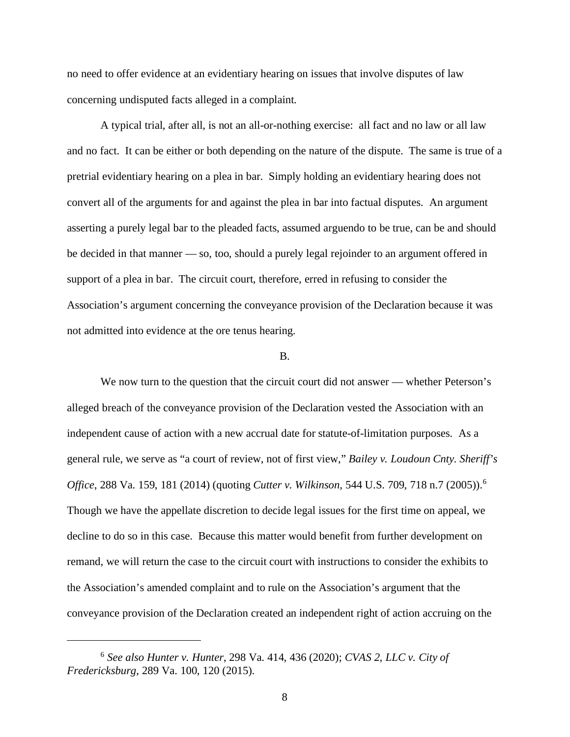no need to offer evidence at an evidentiary hearing on issues that involve disputes of law concerning undisputed facts alleged in a complaint.

A typical trial, after all, is not an all-or-nothing exercise: all fact and no law or all law and no fact. It can be either or both depending on the nature of the dispute. The same is true of a pretrial evidentiary hearing on a plea in bar. Simply holding an evidentiary hearing does not convert all of the arguments for and against the plea in bar into factual disputes. An argument asserting a purely legal bar to the pleaded facts, assumed arguendo to be true, can be and should be decided in that manner — so, too, should a purely legal rejoinder to an argument offered in support of a plea in bar. The circuit court, therefore, erred in refusing to consider the Association's argument concerning the conveyance provision of the Declaration because it was not admitted into evidence at the ore tenus hearing.

## B.

We now turn to the question that the circuit court did not answer — whether Peterson's alleged breach of the conveyance provision of the Declaration vested the Association with an independent cause of action with a new accrual date for statute-of-limitation purposes. As a general rule, we serve as "a court of review, not of first view," *Bailey v. Loudoun Cnty. Sheriff's Office*, 288 Va. 159, 181 (2014) (quoting *Cutter v. Wilkinson*, 544 U.S. 709, 718 n.7 (2005)).[6](#page-7-0) Though we have the appellate discretion to decide legal issues for the first time on appeal, we decline to do so in this case. Because this matter would benefit from further development on remand, we will return the case to the circuit court with instructions to consider the exhibits to the Association's amended complaint and to rule on the Association's argument that the conveyance provision of the Declaration created an independent right of action accruing on the

<span id="page-7-0"></span><sup>6</sup> *See also Hunter v. Hunter*, 298 Va. 414, 436 (2020); *CVAS 2, LLC v. City of Fredericksburg*, 289 Va. 100, 120 (2015).